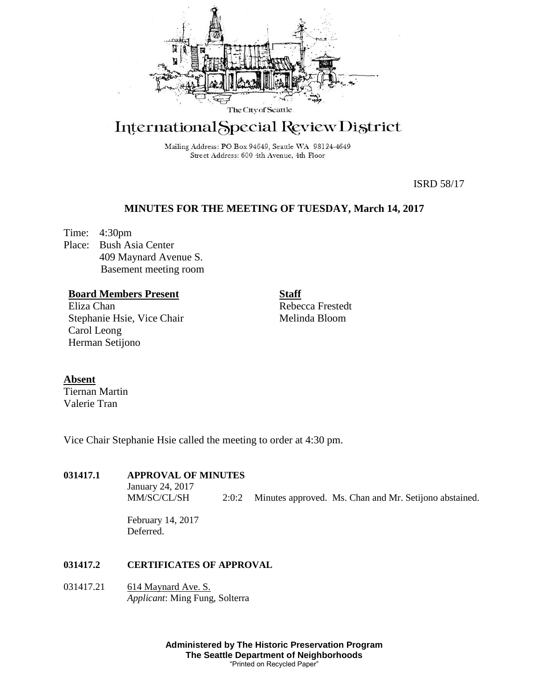

# International Special Review District

Mailing Address: PO Box 94649, Seattle WA 98124-4649 Street Address: 600 4th Avenue, 4th Floor

ISRD 58/17

## **MINUTES FOR THE MEETING OF TUESDAY, March 14, 2017**

Time: 4:30pm Place: Bush Asia Center 409 Maynard Avenue S. Basement meeting room

## **Board Members Present**

Eliza Chan Stephanie Hsie, Vice Chair Carol Leong Herman Setijono

**Staff** Rebecca Frestedt Melinda Bloom

## **Absent**

Tiernan Martin Valerie Tran

Vice Chair Stephanie Hsie called the meeting to order at 4:30 pm.

## **031417.1 APPROVAL OF MINUTES**

January 24, 2017<br>MM/SC/CL/SH 2:0:2 Minutes approved. Ms. Chan and Mr. Setijono abstained.

February 14, 2017 Deferred.

## **031417.2 CERTIFICATES OF APPROVAL**

031417.21 614 Maynard Ave. S. *Applicant*: Ming Fung, Solterra

> **Administered by The Historic Preservation Program The Seattle Department of Neighborhoods** "Printed on Recycled Paper"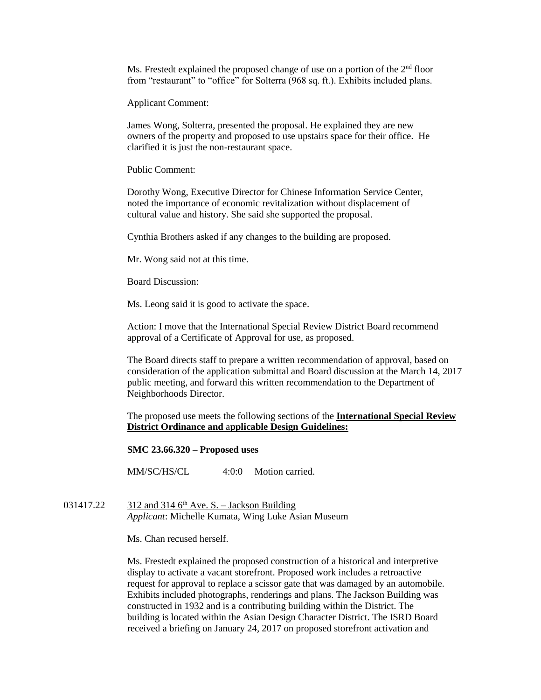Ms. Frestedt explained the proposed change of use on a portion of the  $2<sup>nd</sup>$  floor from "restaurant" to "office" for Solterra (968 sq. ft.). Exhibits included plans.

Applicant Comment:

James Wong, Solterra, presented the proposal. He explained they are new owners of the property and proposed to use upstairs space for their office. He clarified it is just the non-restaurant space.

Public Comment:

Dorothy Wong, Executive Director for Chinese Information Service Center, noted the importance of economic revitalization without displacement of cultural value and history. She said she supported the proposal.

Cynthia Brothers asked if any changes to the building are proposed.

Mr. Wong said not at this time.

Board Discussion:

Ms. Leong said it is good to activate the space.

Action: I move that the International Special Review District Board recommend approval of a Certificate of Approval for use, as proposed.

The Board directs staff to prepare a written recommendation of approval, based on consideration of the application submittal and Board discussion at the March 14, 2017 public meeting, and forward this written recommendation to the Department of Neighborhoods Director.

The proposed use meets the following sections of the **International Special Review District Ordinance and** a**pplicable Design Guidelines:**

**SMC 23.66.320 – Proposed uses**

MM/SC/HS/CL 4:0:0 Motion carried.

031417.22  $\qquad$  312 and 314 6<sup>th</sup> Ave. S. – Jackson Building *Applicant*: Michelle Kumata, Wing Luke Asian Museum

Ms. Chan recused herself.

Ms. Frestedt explained the proposed construction of a historical and interpretive display to activate a vacant storefront. Proposed work includes a retroactive request for approval to replace a scissor gate that was damaged by an automobile. Exhibits included photographs, renderings and plans. The Jackson Building was constructed in 1932 and is a contributing building within the District. The building is located within the Asian Design Character District. The ISRD Board received a briefing on January 24, 2017 on proposed storefront activation and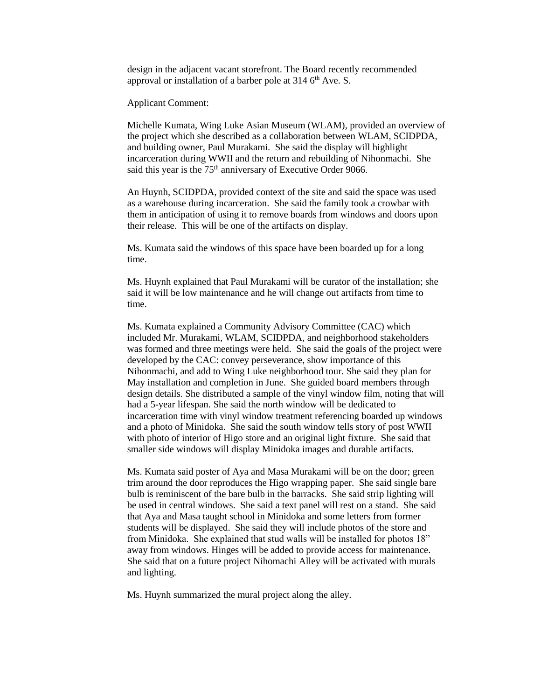design in the adjacent vacant storefront. The Board recently recommended approval or installation of a barber pole at  $314$  6<sup>th</sup> Ave. S.

Applicant Comment:

Michelle Kumata, Wing Luke Asian Museum (WLAM), provided an overview of the project which she described as a collaboration between WLAM, SCIDPDA, and building owner, Paul Murakami. She said the display will highlight incarceration during WWII and the return and rebuilding of Nihonmachi. She said this year is the 75<sup>th</sup> anniversary of Executive Order 9066.

An Huynh, SCIDPDA, provided context of the site and said the space was used as a warehouse during incarceration. She said the family took a crowbar with them in anticipation of using it to remove boards from windows and doors upon their release. This will be one of the artifacts on display.

Ms. Kumata said the windows of this space have been boarded up for a long time.

Ms. Huynh explained that Paul Murakami will be curator of the installation; she said it will be low maintenance and he will change out artifacts from time to time.

Ms. Kumata explained a Community Advisory Committee (CAC) which included Mr. Murakami, WLAM, SCIDPDA, and neighborhood stakeholders was formed and three meetings were held. She said the goals of the project were developed by the CAC: convey perseverance, show importance of this Nihonmachi, and add to Wing Luke neighborhood tour. She said they plan for May installation and completion in June. She guided board members through design details. She distributed a sample of the vinyl window film, noting that will had a 5-year lifespan. She said the north window will be dedicated to incarceration time with vinyl window treatment referencing boarded up windows and a photo of Minidoka. She said the south window tells story of post WWII with photo of interior of Higo store and an original light fixture. She said that smaller side windows will display Minidoka images and durable artifacts.

Ms. Kumata said poster of Aya and Masa Murakami will be on the door; green trim around the door reproduces the Higo wrapping paper. She said single bare bulb is reminiscent of the bare bulb in the barracks. She said strip lighting will be used in central windows. She said a text panel will rest on a stand. She said that Aya and Masa taught school in Minidoka and some letters from former students will be displayed. She said they will include photos of the store and from Minidoka. She explained that stud walls will be installed for photos 18" away from windows. Hinges will be added to provide access for maintenance. She said that on a future project Nihomachi Alley will be activated with murals and lighting.

Ms. Huynh summarized the mural project along the alley.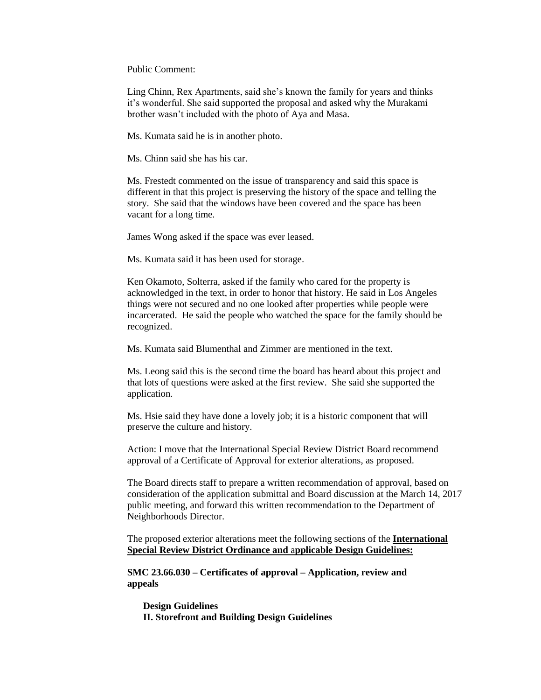Public Comment:

Ling Chinn, Rex Apartments, said she's known the family for years and thinks it's wonderful. She said supported the proposal and asked why the Murakami brother wasn't included with the photo of Aya and Masa.

Ms. Kumata said he is in another photo.

Ms. Chinn said she has his car.

Ms. Frestedt commented on the issue of transparency and said this space is different in that this project is preserving the history of the space and telling the story. She said that the windows have been covered and the space has been vacant for a long time.

James Wong asked if the space was ever leased.

Ms. Kumata said it has been used for storage.

Ken Okamoto, Solterra, asked if the family who cared for the property is acknowledged in the text, in order to honor that history. He said in Los Angeles things were not secured and no one looked after properties while people were incarcerated. He said the people who watched the space for the family should be recognized.

Ms. Kumata said Blumenthal and Zimmer are mentioned in the text.

Ms. Leong said this is the second time the board has heard about this project and that lots of questions were asked at the first review. She said she supported the application.

Ms. Hsie said they have done a lovely job; it is a historic component that will preserve the culture and history.

Action: I move that the International Special Review District Board recommend approval of a Certificate of Approval for exterior alterations, as proposed.

The Board directs staff to prepare a written recommendation of approval, based on consideration of the application submittal and Board discussion at the March 14, 2017 public meeting, and forward this written recommendation to the Department of Neighborhoods Director.

The proposed exterior alterations meet the following sections of the **International Special Review District Ordinance and** a**pplicable Design Guidelines:**

**SMC 23.66.030 – Certificates of approval – Application, review and appeals**

**Design Guidelines II. Storefront and Building Design Guidelines**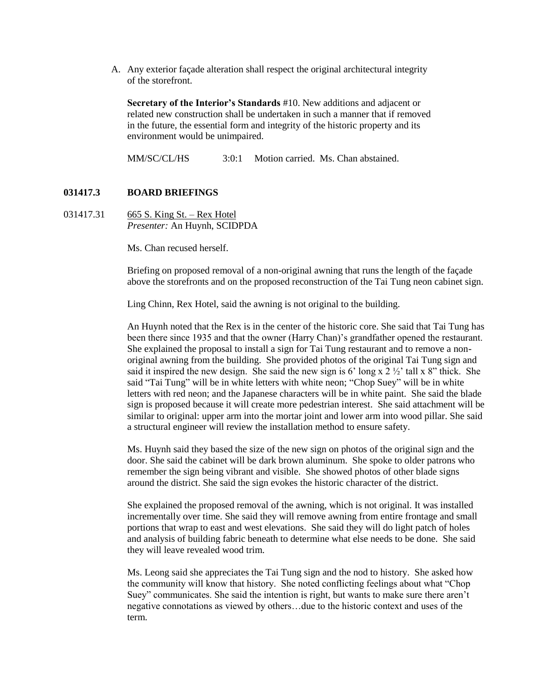A. Any exterior façade alteration shall respect the original architectural integrity of the storefront.

**Secretary of the Interior's Standards** #10. New additions and adjacent or related new construction shall be undertaken in such a manner that if removed in the future, the essential form and integrity of the historic property and its environment would be unimpaired.

MM/SC/CL/HS  $3:0:1$  Motion carried. Ms. Chan abstained.

## **031417.3 BOARD BRIEFINGS**

031417.31 665 S. King St. – Rex Hotel *Presenter:* An Huynh, SCIDPDA

Ms. Chan recused herself.

Briefing on proposed removal of a non-original awning that runs the length of the façade above the storefronts and on the proposed reconstruction of the Tai Tung neon cabinet sign.

Ling Chinn, Rex Hotel, said the awning is not original to the building.

An Huynh noted that the Rex is in the center of the historic core. She said that Tai Tung has been there since 1935 and that the owner (Harry Chan)'s grandfather opened the restaurant. She explained the proposal to install a sign for Tai Tung restaurant and to remove a nonoriginal awning from the building. She provided photos of the original Tai Tung sign and said it inspired the new design. She said the new sign is 6' long x  $2\frac{1}{2}$ ' tall x 8" thick. She said "Tai Tung" will be in white letters with white neon; "Chop Suey" will be in white letters with red neon; and the Japanese characters will be in white paint. She said the blade sign is proposed because it will create more pedestrian interest. She said attachment will be similar to original: upper arm into the mortar joint and lower arm into wood pillar. She said a structural engineer will review the installation method to ensure safety.

Ms. Huynh said they based the size of the new sign on photos of the original sign and the door. She said the cabinet will be dark brown aluminum. She spoke to older patrons who remember the sign being vibrant and visible. She showed photos of other blade signs around the district. She said the sign evokes the historic character of the district.

She explained the proposed removal of the awning, which is not original. It was installed incrementally over time. She said they will remove awning from entire frontage and small portions that wrap to east and west elevations. She said they will do light patch of holes and analysis of building fabric beneath to determine what else needs to be done. She said they will leave revealed wood trim.

Ms. Leong said she appreciates the Tai Tung sign and the nod to history. She asked how the community will know that history. She noted conflicting feelings about what "Chop Suey" communicates. She said the intention is right, but wants to make sure there aren't negative connotations as viewed by others…due to the historic context and uses of the term.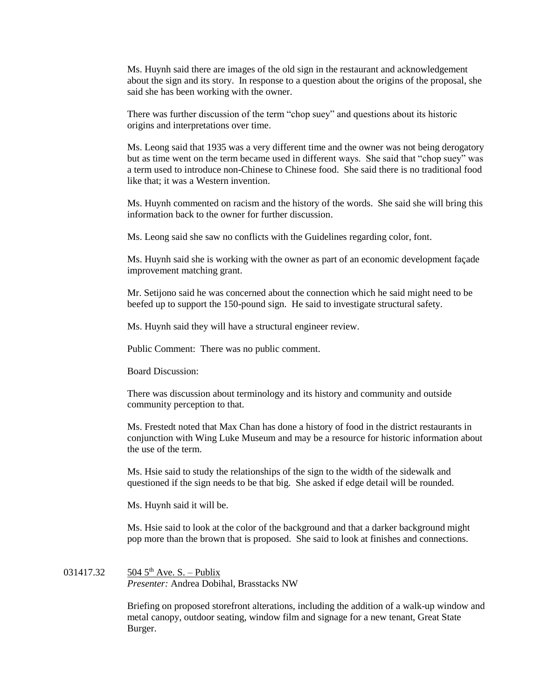Ms. Huynh said there are images of the old sign in the restaurant and acknowledgement about the sign and its story. In response to a question about the origins of the proposal, she said she has been working with the owner.

There was further discussion of the term "chop suey" and questions about its historic origins and interpretations over time.

Ms. Leong said that 1935 was a very different time and the owner was not being derogatory but as time went on the term became used in different ways. She said that "chop suey" was a term used to introduce non-Chinese to Chinese food. She said there is no traditional food like that; it was a Western invention.

Ms. Huynh commented on racism and the history of the words. She said she will bring this information back to the owner for further discussion.

Ms. Leong said she saw no conflicts with the Guidelines regarding color, font.

Ms. Huynh said she is working with the owner as part of an economic development façade improvement matching grant.

Mr. Setijono said he was concerned about the connection which he said might need to be beefed up to support the 150-pound sign. He said to investigate structural safety.

Ms. Huynh said they will have a structural engineer review.

Public Comment: There was no public comment.

Board Discussion:

There was discussion about terminology and its history and community and outside community perception to that.

Ms. Frestedt noted that Max Chan has done a history of food in the district restaurants in conjunction with Wing Luke Museum and may be a resource for historic information about the use of the term.

Ms. Hsie said to study the relationships of the sign to the width of the sidewalk and questioned if the sign needs to be that big. She asked if edge detail will be rounded.

Ms. Huynh said it will be.

Ms. Hsie said to look at the color of the background and that a darker background might pop more than the brown that is proposed. She said to look at finishes and connections.

031417.32  $504\,5^{th}$  Ave. S. – Publix *Presenter:* Andrea Dobihal, Brasstacks NW

> Briefing on proposed storefront alterations, including the addition of a walk-up window and metal canopy, outdoor seating, window film and signage for a new tenant, Great State Burger.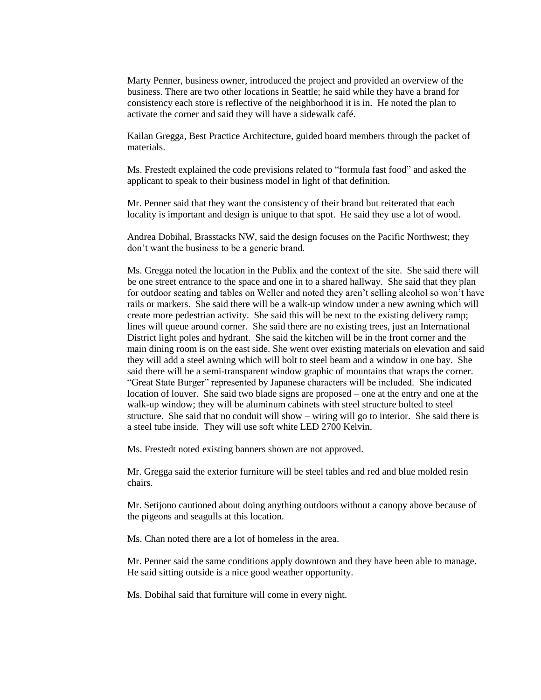Marty Penner, business owner, introduced the project and provided an overview of the business. There are two other locations in Seattle; he said while they have a brand for consistency each store is reflective of the neighborhood it is in. He noted the plan to activate the corner and said they will have a sidewalk café.

Kailan Gregga, Best Practice Architecture, guided board members through the packet of materials.

Ms. Frestedt explained the code previsions related to "formula fast food" and asked the applicant to speak to their business model in light of that definition.

Mr. Penner said that they want the consistency of their brand but reiterated that each locality is important and design is unique to that spot. He said they use a lot of wood.

Andrea Dobihal, Brasstacks NW, said the design focuses on the Pacific Northwest; they don't want the business to be a generic brand.

Ms. Gregga noted the location in the Publix and the context of the site. She said there will be one street entrance to the space and one in to a shared hallway. She said that they plan for outdoor seating and tables on Weller and noted they aren't selling alcohol so won't have rails or markers. She said there will be a walk-up window under a new awning which will create more pedestrian activity. She said this will be next to the existing delivery ramp; lines will queue around corner. She said there are no existing trees, just an International District light poles and hydrant. She said the kitchen will be in the front corner and the main dining room is on the east side. She went over existing materials on elevation and said they will add a steel awning which will bolt to steel beam and a window in one bay. She said there will be a semi-transparent window graphic of mountains that wraps the corner. "Great State Burger" represented by Japanese characters will be included. She indicated location of louver. She said two blade signs are proposed – one at the entry and one at the walk-up window; they will be aluminum cabinets with steel structure bolted to steel structure. She said that no conduit will show – wiring will go to interior. She said there is a steel tube inside. They will use soft white LED 2700 Kelvin.

Ms. Frestedt noted existing banners shown are not approved.

Mr. Gregga said the exterior furniture will be steel tables and red and blue molded resin chairs.

Mr. Setijono cautioned about doing anything outdoors without a canopy above because of the pigeons and seagulls at this location.

Ms. Chan noted there are a lot of homeless in the area.

Mr. Penner said the same conditions apply downtown and they have been able to manage. He said sitting outside is a nice good weather opportunity.

Ms. Dobihal said that furniture will come in every night.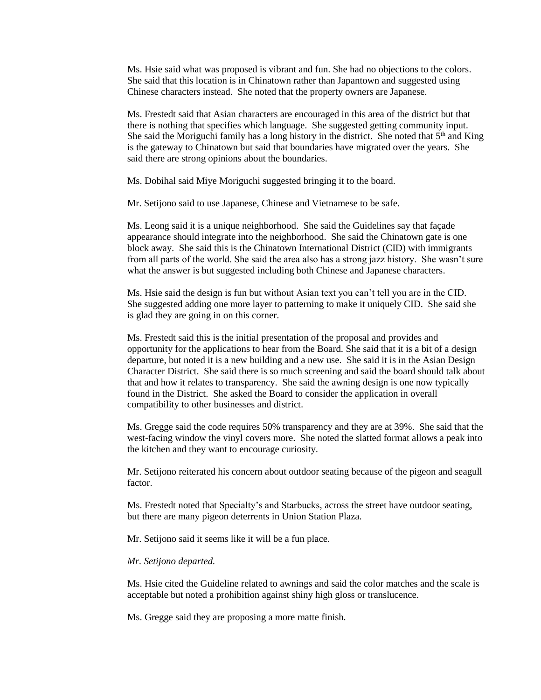Ms. Hsie said what was proposed is vibrant and fun. She had no objections to the colors. She said that this location is in Chinatown rather than Japantown and suggested using Chinese characters instead. She noted that the property owners are Japanese.

Ms. Frestedt said that Asian characters are encouraged in this area of the district but that there is nothing that specifies which language. She suggested getting community input. She said the Moriguchi family has a long history in the district. She noted that  $5<sup>th</sup>$  and King is the gateway to Chinatown but said that boundaries have migrated over the years. She said there are strong opinions about the boundaries.

Ms. Dobihal said Miye Moriguchi suggested bringing it to the board.

Mr. Setijono said to use Japanese, Chinese and Vietnamese to be safe.

Ms. Leong said it is a unique neighborhood. She said the Guidelines say that façade appearance should integrate into the neighborhood. She said the Chinatown gate is one block away. She said this is the Chinatown International District (CID) with immigrants from all parts of the world. She said the area also has a strong jazz history. She wasn't sure what the answer is but suggested including both Chinese and Japanese characters.

Ms. Hsie said the design is fun but without Asian text you can't tell you are in the CID. She suggested adding one more layer to patterning to make it uniquely CID. She said she is glad they are going in on this corner.

Ms. Frestedt said this is the initial presentation of the proposal and provides and opportunity for the applications to hear from the Board. She said that it is a bit of a design departure, but noted it is a new building and a new use. She said it is in the Asian Design Character District. She said there is so much screening and said the board should talk about that and how it relates to transparency. She said the awning design is one now typically found in the District. She asked the Board to consider the application in overall compatibility to other businesses and district.

Ms. Gregge said the code requires 50% transparency and they are at 39%. She said that the west-facing window the vinyl covers more. She noted the slatted format allows a peak into the kitchen and they want to encourage curiosity.

Mr. Setijono reiterated his concern about outdoor seating because of the pigeon and seagull factor.

Ms. Frestedt noted that Specialty's and Starbucks, across the street have outdoor seating, but there are many pigeon deterrents in Union Station Plaza.

Mr. Setijono said it seems like it will be a fun place.

## *Mr. Setijono departed.*

Ms. Hsie cited the Guideline related to awnings and said the color matches and the scale is acceptable but noted a prohibition against shiny high gloss or translucence.

Ms. Gregge said they are proposing a more matte finish.